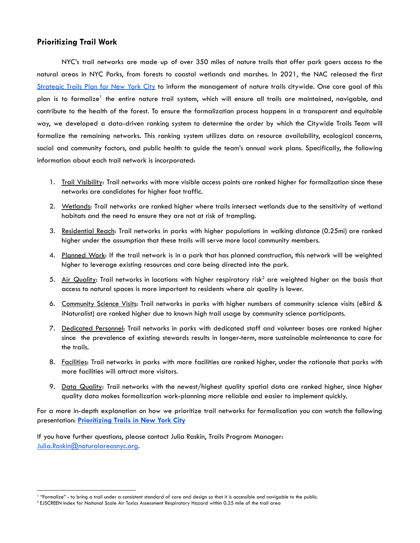## **Prioritizing Trail Work**

NYC's trail networks are made up of over 350 miles of nature trails that offer park goers access to the natural areas in NYC Parks, from forests to coastal wetlands and marshes. In 2021, the NAC released the first [Strategic](https://naturalareasnyc.org/trails) Trails Plan for New York City to inform the management of nature trails citywide. One core goal of this plan is to formalize<sup>1</sup> the entire nature trail system, which will ensure all trails are maintained, navigable, and contribute to the health of the forest. To ensure the formalization process happens in a transparent and equitable way, we developed a data-driven ranking system to determine the order by which the Citywide Trails Team will formalize the remaining networks. This ranking system utilizes data on resource availability, ecological concerns, social and community factors, and public health to guide the team's annual work plans. Specifically, the following information about each trail network is incorporated:

- 1. Trail Visibility: Trail networks with more visible access points are ranked higher for formalization since these networks are candidates for higher foot traffic.
- 2. Wetlands: Trail networks are ranked higher where trails intersect wetlands due to the sensitivity of wetland habitats and the need to ensure they are not at risk of trampling.
- 3. Residential Reach: Trail networks in parks with higher populations in walking distance (0.25mi) are ranked higher under the assumption that these trails will serve more local community members.
- 4. Planned Work: If the trail network is in a park that has planned construction, this network will be weighted higher to leverage existing resources and care being directed into the park.
- 5. Air Quality: Trail networks in locations with higher respiratory risk<sup>2</sup> are weighted higher on the basis that access to natural spaces is more important to residents where air quality is lower.
- 6. Community Science Visits: Trail networks in parks with higher numbers of community science visits (eBird & iNaturalist) are ranked higher due to known high trail usage by community science participants.
- 7. Dedicated Personnel: Trail networks in parks with dedicated staff and volunteer bases are ranked higher since the prevalence of existing stewards results in longer-term, more sustainable maintenance to care for the trails.
- 8. Facilities: Trail networks in parks with more facilities are ranked higher, under the rationale that parks with more facilities will attract more visitors.
- 9. Data Quality: Trail networks with the newest/highest quality spatial data are ranked higher, since higher quality data makes formalization work-planning more reliable and easier to implement quickly.

For a more in-depth explanation on how we prioritize trail networks for formalization you can watch the following presentation: **[Prioritizing](https://youtu.be/y-sPpXUdcFw) Trails in New York City**

If you have further questions, please contact Julia Raskin, Trails Program Manager: [Julia.Raskin@naturalareasnyc.org](mailto:Julia.Raskin@naturalareasnyc.org).

<sup>&</sup>lt;sup>1</sup> "Formalize" - to bring a trail under a consistent standard of care and design so that it is accessible and navigable to the public.

<sup>2</sup> EJSCREEN Index for National Scale Air Toxics Assessment Respiratory Hazard within 0.25 mile of the trail area